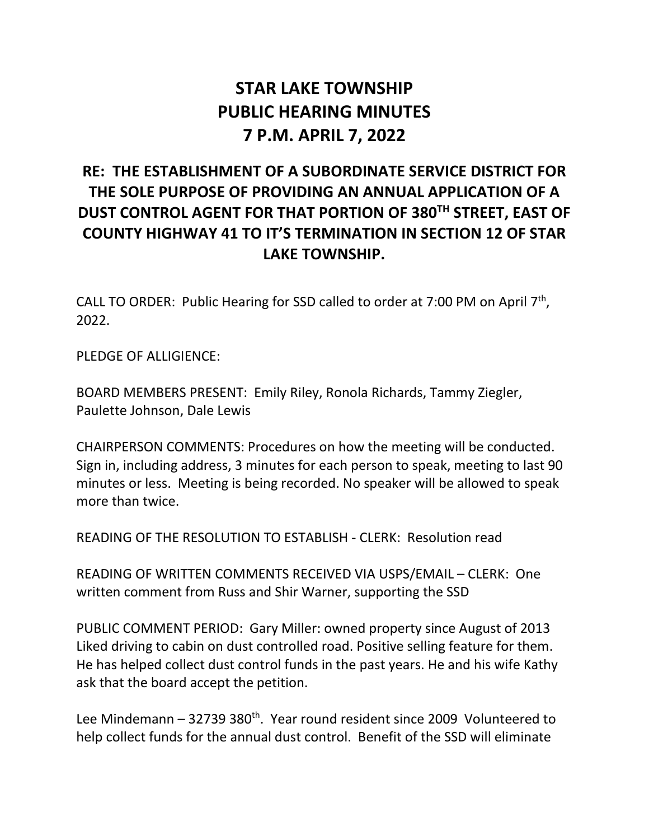## **STAR LAKE TOWNSHIP PUBLIC HEARING MINUTES 7 P.M. APRIL 7, 2022**

## **RE: THE ESTABLISHMENT OF A SUBORDINATE SERVICE DISTRICT FOR THE SOLE PURPOSE OF PROVIDING AN ANNUAL APPLICATION OF A DUST CONTROL AGENT FOR THAT PORTION OF 380TH STREET, EAST OF COUNTY HIGHWAY 41 TO IT'S TERMINATION IN SECTION 12 OF STAR LAKE TOWNSHIP.**

CALL TO ORDER: Public Hearing for SSD called to order at 7:00 PM on April 7th, 2022.

PLEDGE OF ALLIGIENCE:

BOARD MEMBERS PRESENT: Emily Riley, Ronola Richards, Tammy Ziegler, Paulette Johnson, Dale Lewis

CHAIRPERSON COMMENTS: Procedures on how the meeting will be conducted. Sign in, including address, 3 minutes for each person to speak, meeting to last 90 minutes or less. Meeting is being recorded. No speaker will be allowed to speak more than twice.

READING OF THE RESOLUTION TO ESTABLISH - CLERK: Resolution read

READING OF WRITTEN COMMENTS RECEIVED VIA USPS/EMAIL – CLERK: One written comment from Russ and Shir Warner, supporting the SSD

PUBLIC COMMENT PERIOD: Gary Miller: owned property since August of 2013 Liked driving to cabin on dust controlled road. Positive selling feature for them. He has helped collect dust control funds in the past years. He and his wife Kathy ask that the board accept the petition.

Lee Mindemann  $-32739380^{th}$ . Year round resident since 2009 Volunteered to help collect funds for the annual dust control. Benefit of the SSD will eliminate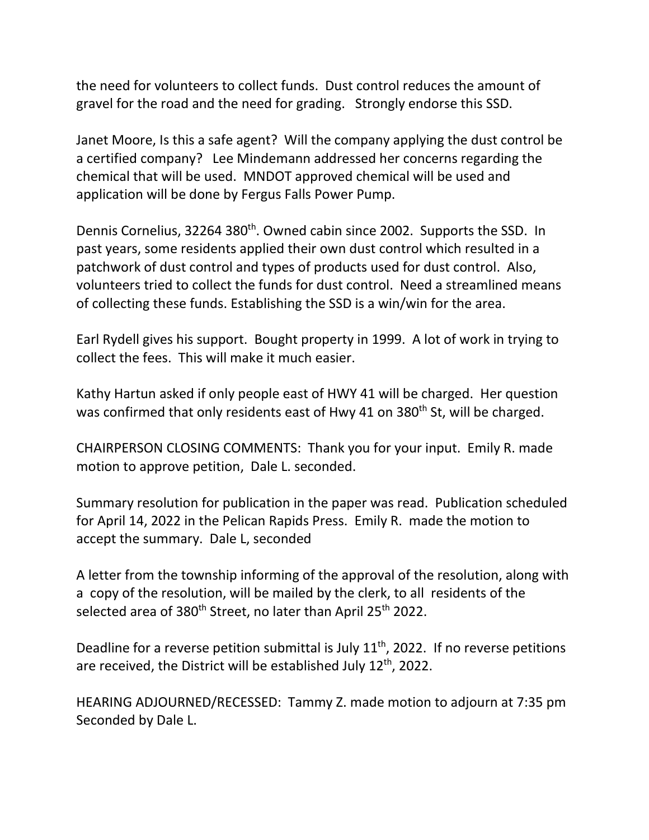the need for volunteers to collect funds. Dust control reduces the amount of gravel for the road and the need for grading. Strongly endorse this SSD.

Janet Moore, Is this a safe agent? Will the company applying the dust control be a certified company? Lee Mindemann addressed her concerns regarding the chemical that will be used. MNDOT approved chemical will be used and application will be done by Fergus Falls Power Pump.

Dennis Cornelius, 32264 380<sup>th</sup>. Owned cabin since 2002. Supports the SSD. In past years, some residents applied their own dust control which resulted in a patchwork of dust control and types of products used for dust control. Also, volunteers tried to collect the funds for dust control. Need a streamlined means of collecting these funds. Establishing the SSD is a win/win for the area.

Earl Rydell gives his support. Bought property in 1999. A lot of work in trying to collect the fees. This will make it much easier.

Kathy Hartun asked if only people east of HWY 41 will be charged. Her question was confirmed that only residents east of Hwy 41 on 380<sup>th</sup> St, will be charged.

CHAIRPERSON CLOSING COMMENTS: Thank you for your input. Emily R. made motion to approve petition, Dale L. seconded.

Summary resolution for publication in the paper was read. Publication scheduled for April 14, 2022 in the Pelican Rapids Press. Emily R. made the motion to accept the summary. Dale L, seconded

A letter from the township informing of the approval of the resolution, along with a copy of the resolution, will be mailed by the clerk, to all residents of the selected area of 380<sup>th</sup> Street, no later than April 25<sup>th</sup> 2022.

Deadline for a reverse petition submittal is July  $11<sup>th</sup>$ , 2022. If no reverse petitions are received, the District will be established July 12<sup>th</sup>, 2022.

HEARING ADJOURNED/RECESSED: Tammy Z. made motion to adjourn at 7:35 pm Seconded by Dale L.